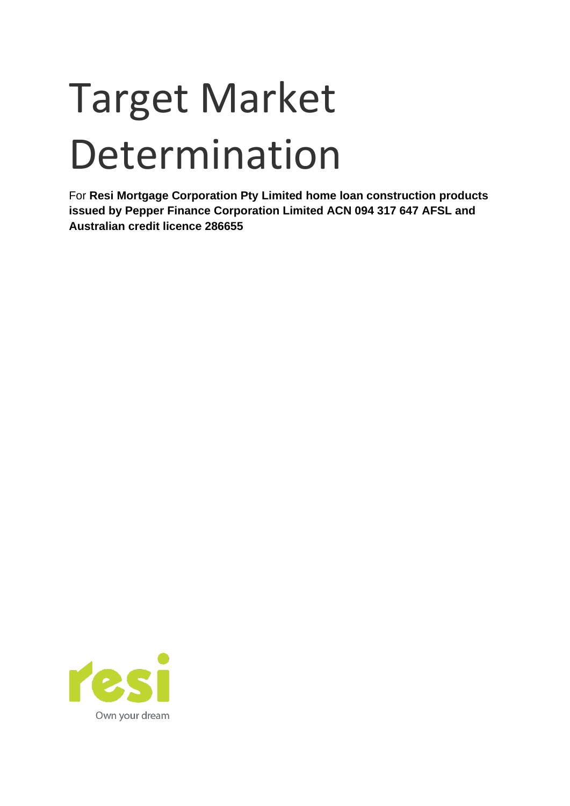# Target Market Determination

For **Resi Mortgage Corporation Pty Limited home loan construction products issued by Pepper Finance Corporation Limited ACN 094 317 647 AFSL and Australian credit licence 286655**

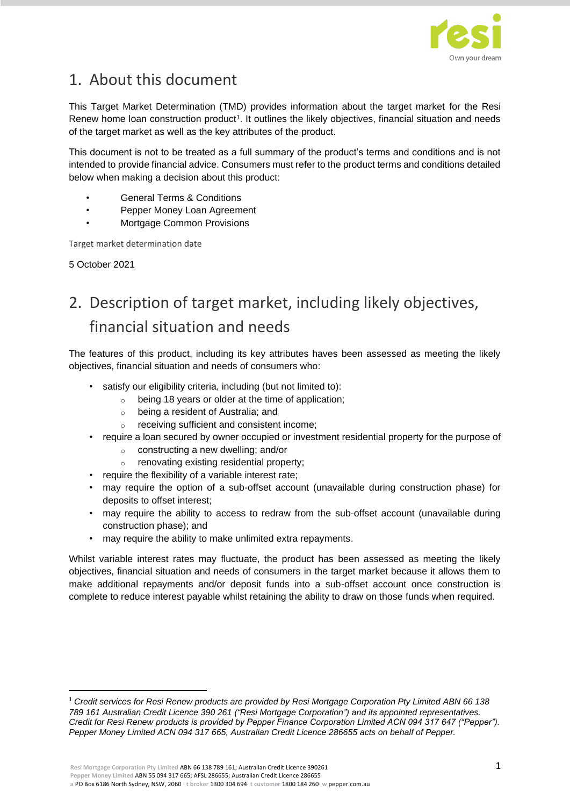

## 1. About this document

This Target Market Determination (TMD) provides information about the target market for the Resi Renew home loan construction product<sup>1</sup>. It outlines the likely objectives, financial situation and needs of the target market as well as the key attributes of the product.

This document is not to be treated as a full summary of the product's terms and conditions and is not intended to provide financial advice. Consumers must refer to the product terms and conditions detailed below when making a decision about this product:

- General Terms & Conditions
- Pepper Money Loan Agreement
- Mortgage Common Provisions

Target market determination date

5 October 2021

# 2. Description of target market, including likely objectives, financial situation and needs

The features of this product, including its key attributes haves been assessed as meeting the likely objectives, financial situation and needs of consumers who:

- satisfy our eligibility criteria, including (but not limited to):
	- o being 18 years or older at the time of application;
	- o being a resident of Australia; and
	- o receiving sufficient and consistent income;
- require a loan secured by owner occupied or investment residential property for the purpose of
	- o constructing a new dwelling; and/or
	- o renovating existing residential property;
- require the flexibility of a variable interest rate;
- may require the option of a sub-offset account (unavailable during construction phase) for deposits to offset interest;
- may require the ability to access to redraw from the sub-offset account (unavailable during construction phase); and
- may require the ability to make unlimited extra repayments.

Whilst variable interest rates may fluctuate, the product has been assessed as meeting the likely objectives, financial situation and needs of consumers in the target market because it allows them to make additional repayments and/or deposit funds into a sub-offset account once construction is complete to reduce interest payable whilst retaining the ability to draw on those funds when required.

<sup>1</sup> *Credit services for Resi Renew products are provided by Resi Mortgage Corporation Pty Limited ABN 66 138 789 161 Australian Credit Licence 390 261 ("Resi Mortgage Corporation") and its appointed representatives. Credit for Resi Renew products is provided by Pepper Finance Corporation Limited ACN 094 317 647 ("Pepper"). Pepper Money Limited ACN 094 317 665, Australian Credit Licence 286655 acts on behalf of Pepper.*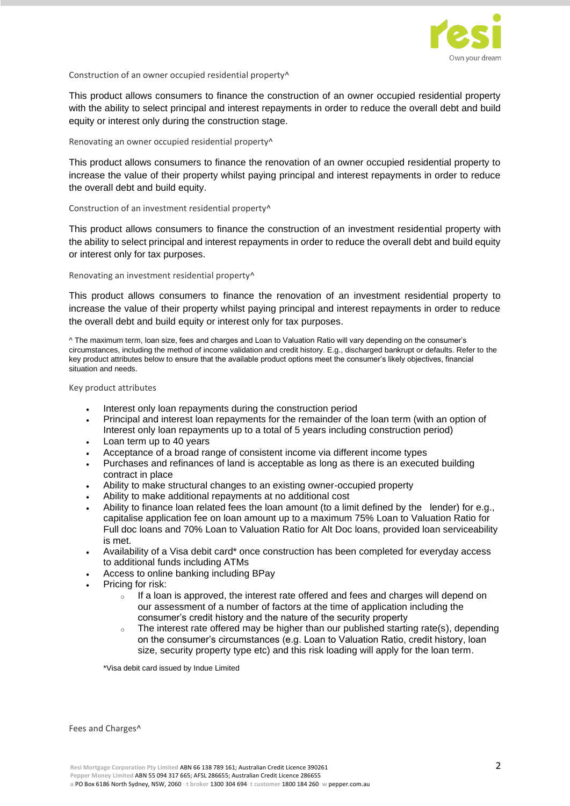

#### Construction of an owner occupied residential property^

This product allows consumers to finance the construction of an owner occupied residential property with the ability to select principal and interest repayments in order to reduce the overall debt and build equity or interest only during the construction stage.

#### Renovating an owner occupied residential property^

This product allows consumers to finance the renovation of an owner occupied residential property to increase the value of their property whilst paying principal and interest repayments in order to reduce the overall debt and build equity.

#### Construction of an investment residential property^

This product allows consumers to finance the construction of an investment residential property with the ability to select principal and interest repayments in order to reduce the overall debt and build equity or interest only for tax purposes.

#### Renovating an investment residential property^

This product allows consumers to finance the renovation of an investment residential property to increase the value of their property whilst paying principal and interest repayments in order to reduce the overall debt and build equity or interest only for tax purposes.

^ The maximum term, loan size, fees and charges and Loan to Valuation Ratio will vary depending on the consumer's circumstances, including the method of income validation and credit history. E.g., discharged bankrupt or defaults. Refer to the key product attributes below to ensure that the available product options meet the consumer's likely objectives, financial situation and needs.

Key product attributes

- Interest only loan repayments during the construction period
- Principal and interest loan repayments for the remainder of the loan term (with an option of Interest only loan repayments up to a total of 5 years including construction period)
- Loan term up to 40 years
- Acceptance of a broad range of consistent income via different income types
- Purchases and refinances of land is acceptable as long as there is an executed building contract in place
- Ability to make structural changes to an existing owner-occupied property
- Ability to make additional repayments at no additional cost
- Ability to finance loan related fees the loan amount (to a limit defined by the lender) for e.g., capitalise application fee on loan amount up to a maximum 75% Loan to Valuation Ratio for Full doc loans and 70% Loan to Valuation Ratio for Alt Doc loans, provided loan serviceability is met.
- Availability of a Visa debit card\* once construction has been completed for everyday access to additional funds including ATMs
- Access to online banking including BPay
- Pricing for risk:
	- $\circ$  If a loan is approved, the interest rate offered and fees and charges will depend on our assessment of a number of factors at the time of application including the consumer's credit history and the nature of the security property
	- $\circ$  The interest rate offered may be higher than our published starting rate(s), depending on the consumer's circumstances (e.g. Loan to Valuation Ratio, credit history, loan size, security property type etc) and this risk loading will apply for the loan term.

\*Visa debit card issued by Indue Limited

Fees and Charges^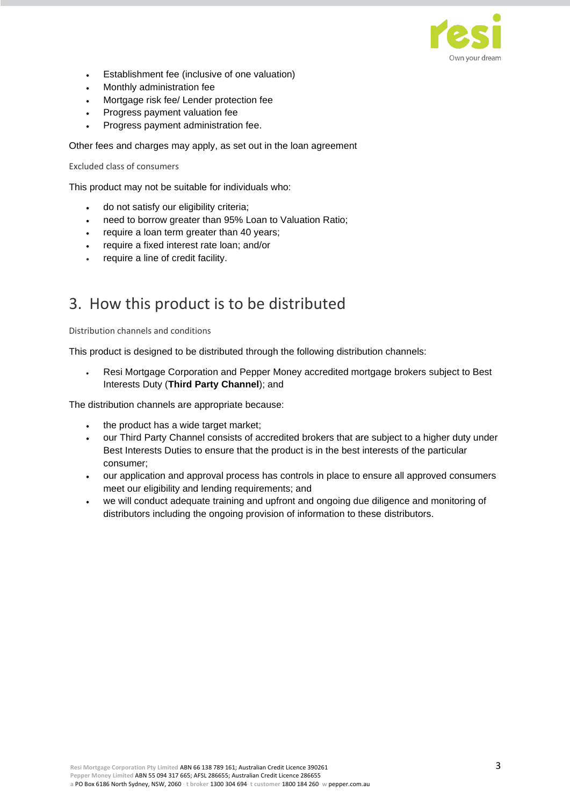

- Establishment fee (inclusive of one valuation)
- Monthly administration fee
- Mortgage risk fee/ Lender protection fee
- Progress payment valuation fee
- Progress payment administration fee.

Other fees and charges may apply, as set out in the loan agreement

Excluded class of consumers

This product may not be suitable for individuals who:

- do not satisfy our eligibility criteria;
- need to borrow greater than 95% Loan to Valuation Ratio;
- require a loan term greater than 40 years;
- require a fixed interest rate loan; and/or
- require a line of credit facility.

### 3. How this product is to be distributed

Distribution channels and conditions

This product is designed to be distributed through the following distribution channels:

• Resi Mortgage Corporation and Pepper Money accredited mortgage brokers subject to Best Interests Duty (**Third Party Channel**); and

The distribution channels are appropriate because:

- the product has a wide target market;
- our Third Party Channel consists of accredited brokers that are subject to a higher duty under Best Interests Duties to ensure that the product is in the best interests of the particular consumer;
- our application and approval process has controls in place to ensure all approved consumers meet our eligibility and lending requirements; and
- we will conduct adequate training and upfront and ongoing due diligence and monitoring of distributors including the ongoing provision of information to these distributors.